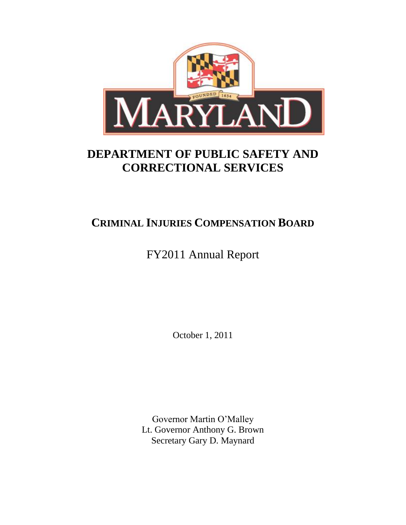

# **DEPARTMENT OF PUBLIC SAFETY AND CORRECTIONAL SERVICES**

# **CRIMINAL INJURIES COMPENSATION BOARD**

# FY2011 Annual Report

October 1, 2011

Governor Martin O'Malley Lt. Governor Anthony G. Brown Secretary Gary D. Maynard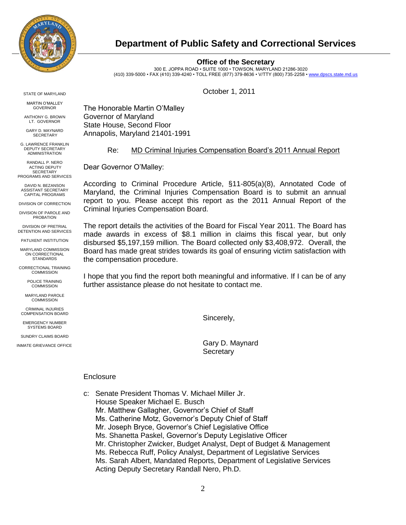

# **Department of Public Safety and Correctional Services**

#### **Office of the Secretary**

300 E. JOPPA ROAD • SUITE 1000 • TOWSON, MARYLAND 21286-3020 (410) 339-5000 • FAX (410) 339-4240 • TOLL FREE (877) 379-8636 • V/TTY (800) 735-2258 • [www.dpscs.state.md.us](http://www.dpscs.state.md.us/)

STATE OF MARYLAND

MARTIN O'MALLEY GOVERNOR

ANTHONY G. BROWN LT. GOVERNOR

GARY D. MAYNARD **SECRETARY** 

G. LAWRENCE FRANKLIN DEPUTY SECRETARY ADMINISTRATION

RANDALL P. NERO ACTING DEPLITY **SECRETARY** PROGRAMS AND SERVICES

DAVID N. BEZANSON ASSISTANT SECRETARY CAPITAL PROGRAMS

DIVISION OF CORRECTION

DIVISION OF PAROLE AND PROBATION

DIVISION OF PRETRIAL DETENTION AND SERVICES

PATUXENT INSTITUTION

MARYLAND COMMISSION ON CORRECTIONAL **STANDARDS** 

CORRECTIONAL TRAINING **COMMISSION** 

> POLICE TRAINING **COMMISSION**

MARYLAND PAROLE **COMMISSION** 

CRIMINAL INJURIES COMPENSATION BOARD

EMERGENCY NUMBER SYSTEMS BOARD

SUNDRY CLAIMS BOARD INMATE GRIEVANCE OFFICE October 1, 2011

The Honorable Martin O'Malley Governor of Maryland State House, Second Floor Annapolis, Maryland 21401-1991

# Re: MD Criminal Injuries Compensation Board's 2011 Annual Report

Dear Governor O'Malley:

According to Criminal Procedure Article, §11-805(a)(8), Annotated Code of Maryland, the Criminal Injuries Compensation Board is to submit an annual report to you. Please accept this report as the 2011 Annual Report of the Criminal Injuries Compensation Board.

The report details the activities of the Board for Fiscal Year 2011. The Board has made awards in excess of \$8.1 million in claims this fiscal year, but only disbursed \$5,197,159 million. The Board collected only \$3,408,972. Overall, the Board has made great strides towards its goal of ensuring victim satisfaction with the compensation procedure.

I hope that you find the report both meaningful and informative. If I can be of any further assistance please do not hesitate to contact me.

Sincerely,

Gary D. Maynard **Secretary** 

## **Enclosure**

c: Senate President Thomas V. Michael Miller Jr. House Speaker Michael E. Busch Mr. Matthew Gallagher, Governor's Chief of Staff Ms. Catherine Motz, Governor's Deputy Chief of Staff Mr. Joseph Bryce, Governor's Chief Legislative Office Ms. Shanetta Paskel, Governor's Deputy Legislative Officer Mr. Christopher Zwicker, Budget Analyst, Dept of Budget & Management Ms. Rebecca Ruff, Policy Analyst, Department of Legislative Services Ms. Sarah Albert, Mandated Reports, Department of Legislative Services Acting Deputy Secretary Randall Nero, Ph.D.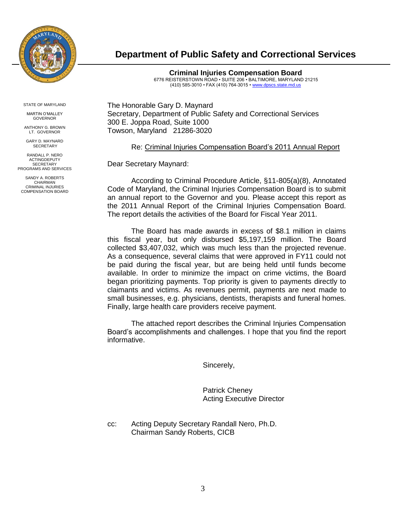

# **Department of Public Safety and Correctional Services**

**Criminal Injuries Compensation Board** 6776 REISTERSTOWN ROAD • SUITE 206 • BALTIMORE, MARYLAND 21215 (410) 585-3010 • FAX (410) 764-3015 [• www.dpscs.state.md.us](http://www.dpscs.state.md.us/)

STATE OF MARYLAND

MARTIN O'MALLEY GOVERNOR

ANTHONY G. BROWN **LT. GOVERNOR** 

GARY D. MAYNARD **SECRETARY** 

RANDALL P. NERO ACTINGDEPUTY **SECRETARY** PROGRAMS AND SERVICES

SANDY A. ROBERTS CHAIRMAN CRIMINAL INJURIES COMPENSATION BOARD The Honorable Gary D. Maynard Secretary, Department of Public Safety and Correctional Services 300 E. Joppa Road, Suite 1000 Towson, Maryland 21286-3020

Re: Criminal Injuries Compensation Board's 2011 Annual Report

Dear Secretary Maynard:

According to Criminal Procedure Article, §11-805(a)(8), Annotated Code of Maryland, the Criminal Injuries Compensation Board is to submit an annual report to the Governor and you. Please accept this report as the 2011 Annual Report of the Criminal Injuries Compensation Board. The report details the activities of the Board for Fiscal Year 2011.

The Board has made awards in excess of \$8.1 million in claims this fiscal year, but only disbursed \$5,197,159 million. The Board collected \$3,407,032, which was much less than the projected revenue. As a consequence, several claims that were approved in FY11 could not be paid during the fiscal year, but are being held until funds become available. In order to minimize the impact on crime victims, the Board began prioritizing payments. Top priority is given to payments directly to claimants and victims. As revenues permit, payments are next made to small businesses, e.g. physicians, dentists, therapists and funeral homes. Finally, large health care providers receive payment.

The attached report describes the Criminal Injuries Compensation Board's accomplishments and challenges. I hope that you find the report informative.

Sincerely,

Patrick Cheney Acting Executive Director

cc: Acting Deputy Secretary Randall Nero, Ph.D. Chairman Sandy Roberts, CICB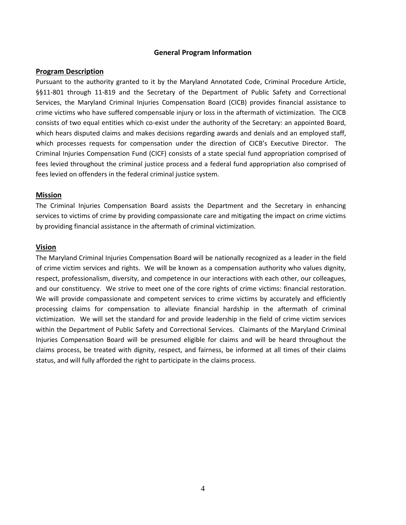#### **General Program Information**

#### **Program Description**

Pursuant to the authority granted to it by the Maryland Annotated Code, Criminal Procedure Article, §§11-801 through 11-819 and the Secretary of the Department of Public Safety and Correctional Services, the Maryland Criminal Injuries Compensation Board (CICB) provides financial assistance to crime victims who have suffered compensable injury or loss in the aftermath of victimization. The CICB consists of two equal entities which co-exist under the authority of the Secretary: an appointed Board, which hears disputed claims and makes decisions regarding awards and denials and an employed staff, which processes requests for compensation under the direction of CICB's Executive Director. The Criminal Injuries Compensation Fund (CICF) consists of a state special fund appropriation comprised of fees levied throughout the criminal justice process and a federal fund appropriation also comprised of fees levied on offenders in the federal criminal justice system.

#### **Mission**

The Criminal Injuries Compensation Board assists the Department and the Secretary in enhancing services to victims of crime by providing compassionate care and mitigating the impact on crime victims by providing financial assistance in the aftermath of criminal victimization.

#### **Vision**

The Maryland Criminal Injuries Compensation Board will be nationally recognized as a leader in the field of crime victim services and rights. We will be known as a compensation authority who values dignity, respect, professionalism, diversity, and competence in our interactions with each other, our colleagues, and our constituency. We strive to meet one of the core rights of crime victims: financial restoration. We will provide compassionate and competent services to crime victims by accurately and efficiently processing claims for compensation to alleviate financial hardship in the aftermath of criminal victimization. We will set the standard for and provide leadership in the field of crime victim services within the Department of Public Safety and Correctional Services. Claimants of the Maryland Criminal Injuries Compensation Board will be presumed eligible for claims and will be heard throughout the claims process, be treated with dignity, respect, and fairness, be informed at all times of their claims status, and will fully afforded the right to participate in the claims process.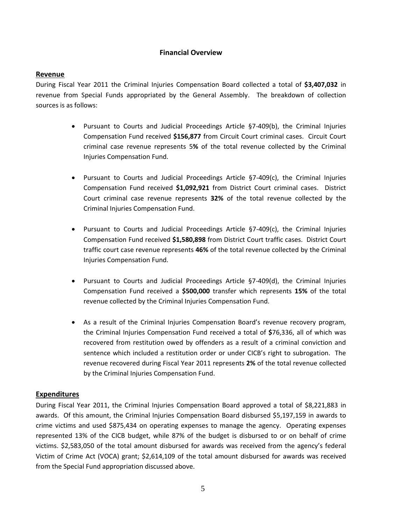# **Financial Overview**

# **Revenue**

During Fiscal Year 2011 the Criminal Injuries Compensation Board collected a total of **\$3,407,032** in revenue from Special Funds appropriated by the General Assembly. The breakdown of collection sources is as follows:

- Pursuant to Courts and Judicial Proceedings Article §7-409(b), the Criminal Injuries Compensation Fund received **\$156,877** from Circuit Court criminal cases. Circuit Court criminal case revenue represents 5**%** of the total revenue collected by the Criminal Injuries Compensation Fund.
- Pursuant to Courts and Judicial Proceedings Article §7-409(c), the Criminal Injuries Compensation Fund received **\$1,092,921** from District Court criminal cases. District Court criminal case revenue represents **32%** of the total revenue collected by the Criminal Injuries Compensation Fund.
- Pursuant to Courts and Judicial Proceedings Article §7-409(c), the Criminal Injuries Compensation Fund received **\$1,580,898** from District Court traffic cases. District Court traffic court case revenue represents **46%** of the total revenue collected by the Criminal Injuries Compensation Fund.
- Pursuant to Courts and Judicial Proceedings Article §7-409(d), the Criminal Injuries Compensation Fund received a **\$500,000** transfer which represents **15%** of the total revenue collected by the Criminal Injuries Compensation Fund.
- As a result of the Criminal Injuries Compensation Board's revenue recovery program, the Criminal Injuries Compensation Fund received a total of **\$**76,336, all of which was recovered from restitution owed by offenders as a result of a criminal conviction and sentence which included a restitution order or under CICB's right to subrogation. The revenue recovered during Fiscal Year 2011 represents **2%** of the total revenue collected by the Criminal Injuries Compensation Fund.

## **Expenditures**

During Fiscal Year 2011, the Criminal Injuries Compensation Board approved a total of \$8,221,883 in awards. Of this amount, the Criminal Injuries Compensation Board disbursed \$5,197,159 in awards to crime victims and used \$875,434 on operating expenses to manage the agency. Operating expenses represented 13% of the CICB budget, while 87% of the budget is disbursed to or on behalf of crime victims. \$2,583,050 of the total amount disbursed for awards was received from the agency's federal Victim of Crime Act (VOCA) grant; \$2,614,109 of the total amount disbursed for awards was received from the Special Fund appropriation discussed above.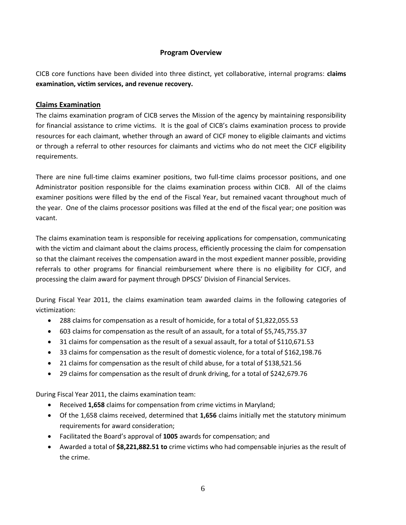# **Program Overview**

CICB core functions have been divided into three distinct, yet collaborative, internal programs: **claims examination, victim services, and revenue recovery.**

# **Claims Examination**

The claims examination program of CICB serves the Mission of the agency by maintaining responsibility for financial assistance to crime victims. It is the goal of CICB's claims examination process to provide resources for each claimant, whether through an award of CICF money to eligible claimants and victims or through a referral to other resources for claimants and victims who do not meet the CICF eligibility requirements.

There are nine full-time claims examiner positions, two full-time claims processor positions, and one Administrator position responsible for the claims examination process within CICB. All of the claims examiner positions were filled by the end of the Fiscal Year, but remained vacant throughout much of the year. One of the claims processor positions was filled at the end of the fiscal year; one position was vacant.

The claims examination team is responsible for receiving applications for compensation, communicating with the victim and claimant about the claims process, efficiently processing the claim for compensation so that the claimant receives the compensation award in the most expedient manner possible, providing referrals to other programs for financial reimbursement where there is no eligibility for CICF, and processing the claim award for payment through DPSCS' Division of Financial Services.

During Fiscal Year 2011, the claims examination team awarded claims in the following categories of victimization:

- 288 claims for compensation as a result of homicide, for a total of \$1,822,055.53
- 603 claims for compensation as the result of an assault, for a total of \$5,745,755.37
- 31 claims for compensation as the result of a sexual assault, for a total of \$110,671.53
- 33 claims for compensation as the result of domestic violence, for a total of \$162,198.76
- 21 claims for compensation as the result of child abuse, for a total of \$138,521.56
- 29 claims for compensation as the result of drunk driving, for a total of \$242,679.76

During Fiscal Year 2011, the claims examination team:

- Received **1,658** claims for compensation from crime victims in Maryland;
- Of the 1,658 claims received, determined that **1,656** claims initially met the statutory minimum requirements for award consideration;
- Facilitated the Board's approval of **1005** awards for compensation; and
- Awarded a total of **\$8,221,882.51 to** crime victims who had compensable injuries as the result of the crime.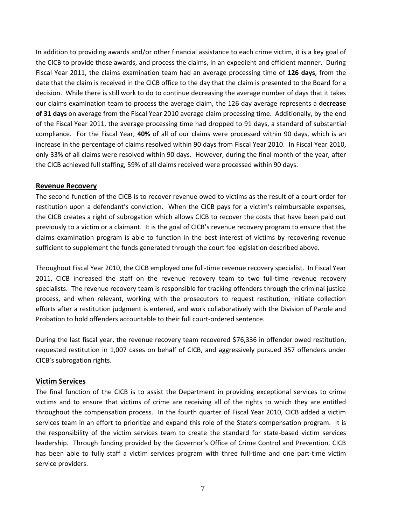In addition to providing awards and/or other financial assistance to each crime victim, it is a key goal of the CICB to provide those awards, and process the claims, in an expedient and efficient manner. During Fiscal Year 2011, the claims examination team had an average processing time of **126 days**, from the date that the claim is received in the CICB office to the day that the claim is presented to the Board for a decision. While there is still work to do to continue decreasing the average number of days that it takes our claims examination team to process the average claim, the 126 day average represents a **decrease of 31 days** on average from the Fiscal Year 2010 average claim processing time. Additionally, by the end of the Fiscal Year 2011, the average processing time had dropped to 91 days, a standard of substantial compliance. For the Fiscal Year, **40%** of all of our claims were processed within 90 days, which is an increase in the percentage of claims resolved within 90 days from Fiscal Year 2010. In Fiscal Year 2010, only 33% of all claims were resolved within 90 days. However, during the final month of the year, after the CICB achieved full staffing, 59% of all claims received were processed within 90 days.

## **Revenue Recovery**

The second function of the CICB is to recover revenue owed to victims as the result of a court order for restitution upon a defendant's conviction. When the CICB pays for a victim's reimbursable expenses, the CICB creates a right of subrogation which allows CICB to recover the costs that have been paid out previously to a victim or a claimant. It is the goal of CICB's revenue recovery program to ensure that the claims examination program is able to function in the best interest of victims by recovering revenue sufficient to supplement the funds generated through the court fee legislation described above.

Throughout Fiscal Year 2010, the CICB employed one full-time revenue recovery specialist. In Fiscal Year 2011, CICB increased the staff on the revenue recovery team to two full-time revenue recovery specialists. The revenue recovery team is responsible for tracking offenders through the criminal justice process, and when relevant, working with the prosecutors to request restitution, initiate collection efforts after a restitution judgment is entered, and work collaboratively with the Division of Parole and Probation to hold offenders accountable to their full court-ordered sentence.

During the last fiscal year, the revenue recovery team recovered \$76,336 in offender owed restitution, requested restitution in 1,007 cases on behalf of CICB, and aggressively pursued 357 offenders under CICB's subrogation rights.

## **Victim Services**

The final function of the CICB is to assist the Department in providing exceptional services to crime victims and to ensure that victims of crime are receiving all of the rights to which they are entitled throughout the compensation process. In the fourth quarter of Fiscal Year 2010, CICB added a victim services team in an effort to prioritize and expand this role of the State's compensation program. It is the responsibility of the victim services team to create the standard for state-based victim services leadership. Through funding provided by the Governor's Office of Crime Control and Prevention, CICB has been able to fully staff a victim services program with three full-time and one part-time victim service providers.